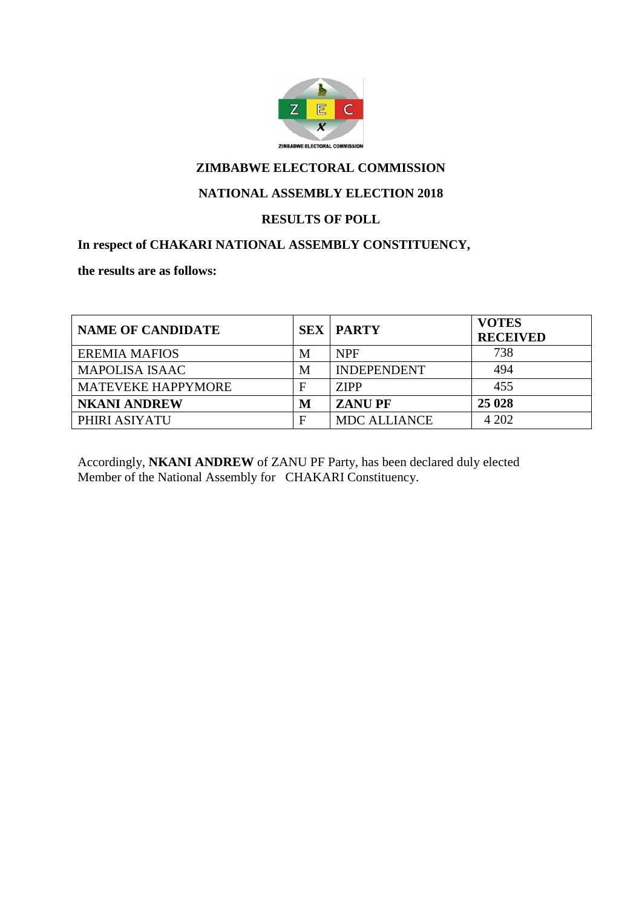

#### **NATIONAL ASSEMBLY ELECTION 2018**

#### **RESULTS OF POLL**

#### **In respect of CHAKARI NATIONAL ASSEMBLY CONSTITUENCY,**

**the results are as follows:**

| <b>NAME OF CANDIDATE</b>  |   | <b>SEX   PARTY</b>  | <b>VOTES</b><br><b>RECEIVED</b> |
|---------------------------|---|---------------------|---------------------------------|
| <b>EREMIA MAFIOS</b>      | M | <b>NPF</b>          | 738                             |
| <b>MAPOLISA ISAAC</b>     | M | <b>INDEPENDENT</b>  | 494                             |
| <b>MATEVEKE HAPPYMORE</b> |   | <b>ZIPP</b>         | 455                             |
| <b>NKANI ANDREW</b>       | M | <b>ZANUPF</b>       | 25 0 28                         |
| PHIRI ASIYATU             | F | <b>MDC ALLIANCE</b> | 4 202                           |

Accordingly, **NKANI ANDREW** of ZANU PF Party, has been declared duly elected Member of the National Assembly for CHAKARI Constituency.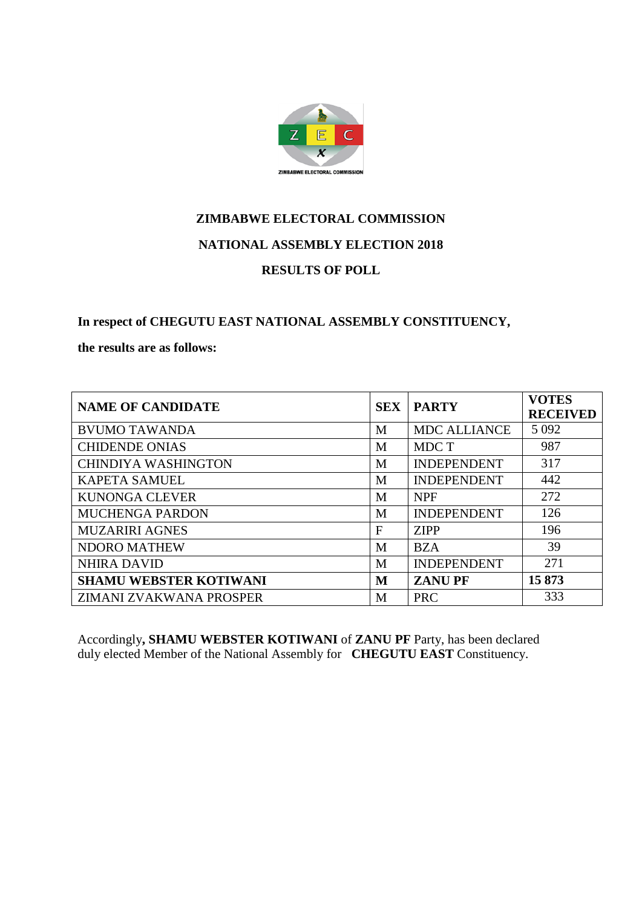

**In respect of CHEGUTU EAST NATIONAL ASSEMBLY CONSTITUENCY,** 

**the results are as follows:**

| <b>NAME OF CANDIDATE</b>      | <b>SEX</b> | <b>PARTY</b>        | <b>VOTES</b><br><b>RECEIVED</b> |
|-------------------------------|------------|---------------------|---------------------------------|
| <b>BVUMO TAWANDA</b>          | M          | <b>MDC ALLIANCE</b> | 5 0 9 2                         |
| <b>CHIDENDE ONIAS</b>         | M          | MDC T               | 987                             |
| <b>CHINDIYA WASHINGTON</b>    | M          | <b>INDEPENDENT</b>  | 317                             |
| <b>KAPETA SAMUEL</b>          | M          | <b>INDEPENDENT</b>  | 442                             |
| <b>KUNONGA CLEVER</b>         | M          | <b>NPF</b>          | 272                             |
| <b>MUCHENGA PARDON</b>        | M          | <b>INDEPENDENT</b>  | 126                             |
| <b>MUZARIRI AGNES</b>         | F          | <b>ZIPP</b>         | 196                             |
| <b>NDORO MATHEW</b>           | M          | <b>BZA</b>          | 39                              |
| <b>NHIRA DAVID</b>            | M          | <b>INDEPENDENT</b>  | 271                             |
| <b>SHAMU WEBSTER KOTIWANI</b> | M          | <b>ZANUPF</b>       | 15873                           |
| ZIMANI ZVAKWANA PROSPER       | M          | <b>PRC</b>          | 333                             |

Accordingly**, SHAMU WEBSTER KOTIWANI** of **ZANU PF** Party, has been declared duly elected Member of the National Assembly for **CHEGUTU EAST** Constituency.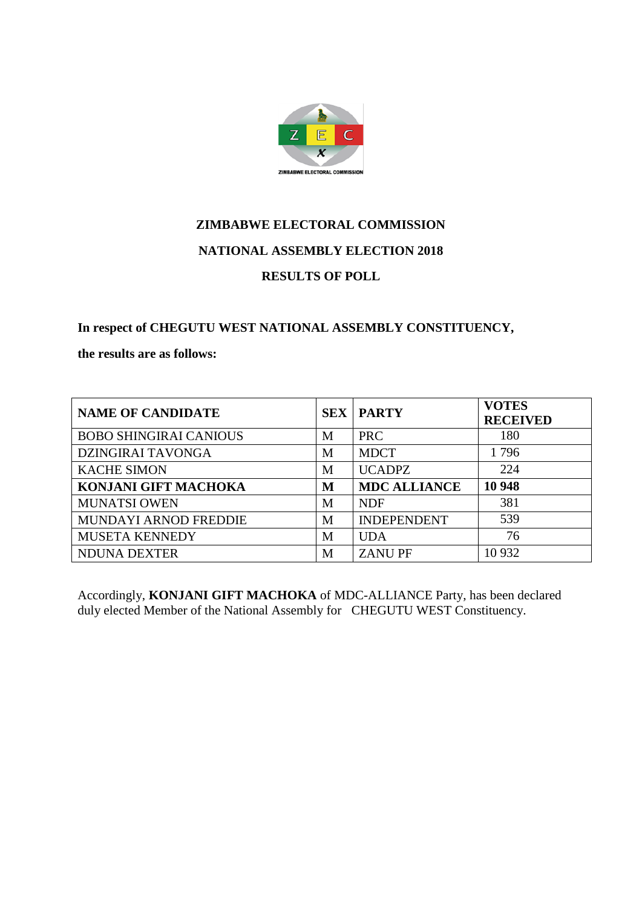

### **In respect of CHEGUTU WEST NATIONAL ASSEMBLY CONSTITUENCY,**

**the results are as follows:**

| <b>NAME OF CANDIDATE</b>      |   | <b>SEX   PARTY</b>  | <b>VOTES</b><br><b>RECEIVED</b> |
|-------------------------------|---|---------------------|---------------------------------|
| <b>BOBO SHINGIRAI CANIOUS</b> | M | <b>PRC</b>          | 180                             |
| <b>DZINGIRAI TAVONGA</b>      | M | <b>MDCT</b>         | 1796                            |
| <b>KACHE SIMON</b>            | M | <b>UCADPZ</b>       | 224                             |
| <b>KONJANI GIFT MACHOKA</b>   | M | <b>MDC ALLIANCE</b> | 10 948                          |
| <b>MUNATSI OWEN</b>           | M | <b>NDF</b>          | 381                             |
| <b>MUNDAYI ARNOD FREDDIE</b>  | M | <b>INDEPENDENT</b>  | 539                             |
| <b>MUSETA KENNEDY</b>         | M | <b>UDA</b>          | 76                              |
| <b>NDUNA DEXTER</b>           | M | <b>ZANUPF</b>       | 10 9 32                         |

Accordingly, **KONJANI GIFT MACHOKA** of MDC-ALLIANCE Party, has been declared duly elected Member of the National Assembly for CHEGUTU WEST Constituency.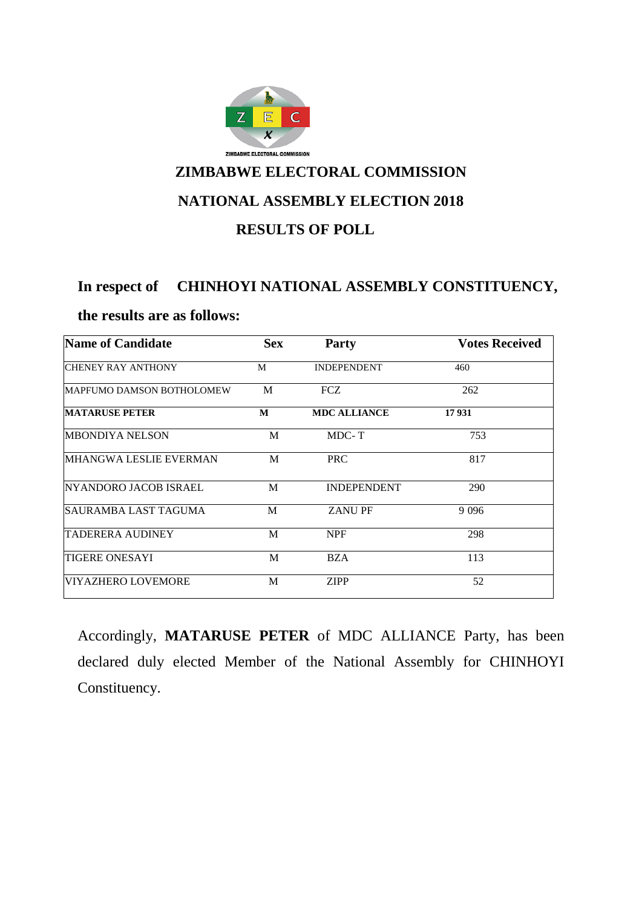

#### **In respect of CHINHOYI NATIONAL ASSEMBLY CONSTITUENCY,**

#### **the results are as follows:**

| Name of Candidate         | <b>Sex</b> | <b>Party</b>        | <b>Votes Received</b> |
|---------------------------|------------|---------------------|-----------------------|
| <b>CHENEY RAY ANTHONY</b> | M          | <b>INDEPENDENT</b>  | 460                   |
| MAPFUMO DAMSON BOTHOLOMEW | M          | <b>FCZ</b>          | 262                   |
| <b>MATARUSE PETER</b>     | M          | <b>MDC ALLIANCE</b> | 17931                 |
| MBONDIYA NELSON           | M          | MDC-T               | 753                   |
| MHANGWA LESLIE EVERMAN    | M          | <b>PRC</b>          | 817                   |
| NYANDORO JACOB ISRAEL     | M          | <b>INDEPENDENT</b>  | 290                   |
| ISAURAMBA LAST TAGUMA     | M          | <b>ZANUPF</b>       | 9 0 9 6               |
| <b>TADERERA AUDINEY</b>   | M          | <b>NPF</b>          | 298                   |
| <b>TIGERE ONESAYI</b>     | M          | <b>BZA</b>          | 113                   |
| <b>VIYAZHERO LOVEMORE</b> | M          | <b>ZIPP</b>         | 52                    |

Accordingly, **MATARUSE PETER** of MDC ALLIANCE Party, has been declared duly elected Member of the National Assembly for CHINHOYI Constituency.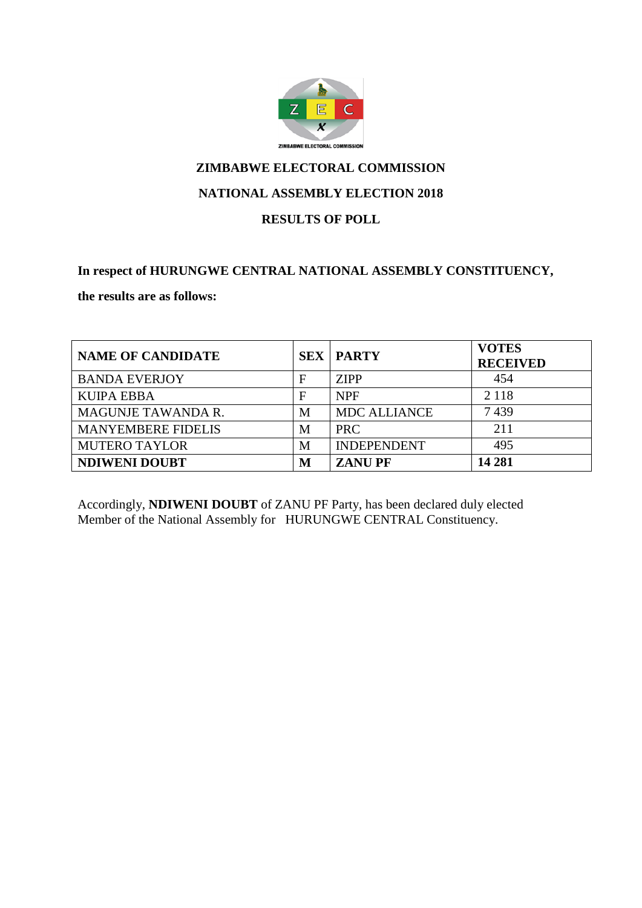

#### **NATIONAL ASSEMBLY ELECTION 2018**

#### **RESULTS OF POLL**

#### **In respect of HURUNGWE CENTRAL NATIONAL ASSEMBLY CONSTITUENCY,**

**the results are as follows:**

| <b>NAME OF CANDIDATE</b>  |   | <b>SEX   PARTY</b>  | <b>VOTES</b><br><b>RECEIVED</b> |
|---------------------------|---|---------------------|---------------------------------|
| <b>BANDA EVERJOY</b>      | F | <b>ZIPP</b>         | 454                             |
| <b>KUIPA EBBA</b>         | F | <b>NPF</b>          | 2 1 1 8                         |
| <b>MAGUNJE TAWANDA R.</b> | М | <b>MDC ALLIANCE</b> | 7439                            |
| <b>MANYEMBERE FIDELIS</b> | M | <b>PRC</b>          | 211                             |
| <b>MUTERO TAYLOR</b>      | М | <b>INDEPENDENT</b>  | 495                             |
| <b>NDIWENI DOUBT</b>      | М | <b>ZANUPF</b>       | 14 281                          |

Accordingly, **NDIWENI DOUBT** of ZANU PF Party, has been declared duly elected Member of the National Assembly for HURUNGWE CENTRAL Constituency.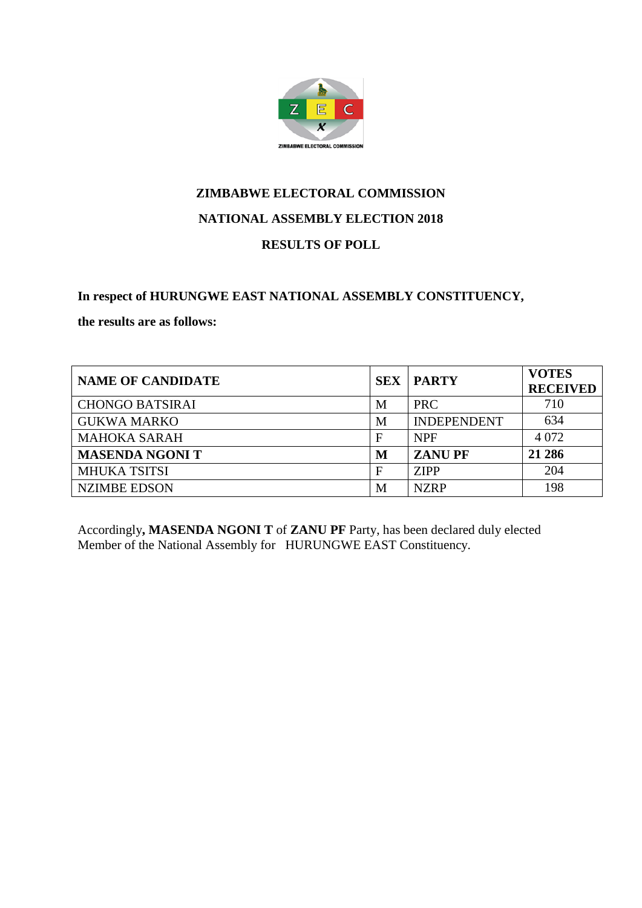

#### **In respect of HURUNGWE EAST NATIONAL ASSEMBLY CONSTITUENCY,**

**the results are as follows:**

| <b>NAME OF CANDIDATE</b> | <b>SEX</b> | <b>PARTY</b>       | <b>VOTES</b><br><b>RECEIVED</b> |
|--------------------------|------------|--------------------|---------------------------------|
| <b>CHONGO BATSIRAI</b>   | M          | <b>PRC</b>         | 710                             |
| <b>GUKWA MARKO</b>       | M          | <b>INDEPENDENT</b> | 634                             |
| <b>MAHOKA SARAH</b>      | F          | <b>NPF</b>         | 4 0 7 2                         |
| <b>MASENDA NGONIT</b>    | М          | <b>ZANUPF</b>      | 21 28 6                         |
| <b>MHUKA TSITSI</b>      | F          | <b>ZIPP</b>        | 204                             |
| <b>NZIMBE EDSON</b>      | M          | <b>NZRP</b>        | 198                             |

Accordingly**, MASENDA NGONI T** of **ZANU PF** Party, has been declared duly elected Member of the National Assembly for HURUNGWE EAST Constituency.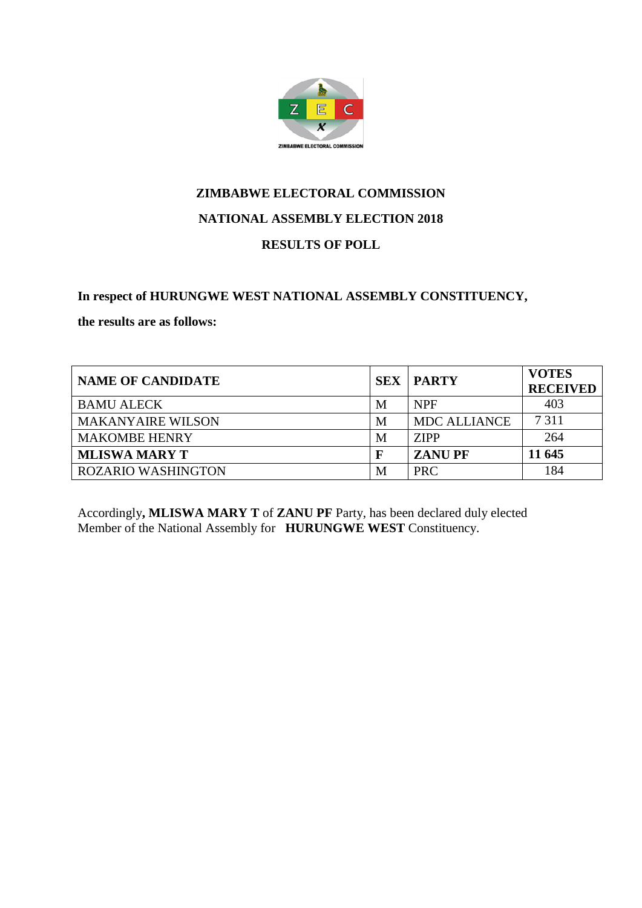

### **In respect of HURUNGWE WEST NATIONAL ASSEMBLY CONSTITUENCY,**

**the results are as follows:**

| <b>NAME OF CANDIDATE</b>  |   | <b>SEX   PARTY</b>  | <b>VOTES</b><br><b>RECEIVED</b> |
|---------------------------|---|---------------------|---------------------------------|
| <b>BAMU ALECK</b>         | M | <b>NPF</b>          | 403                             |
| <b>MAKANYAIRE WILSON</b>  | M | <b>MDC ALLIANCE</b> | 7 3 1 1                         |
| <b>MAKOMBE HENRY</b>      | M | <b>ZIPP</b>         | 264                             |
| <b>MLISWA MARY T</b>      |   | <b>ZANUPF</b>       | 11 645                          |
| <b>ROZARIO WASHINGTON</b> | M | <b>PRC</b>          | 184                             |

Accordingly**, MLISWA MARY T** of **ZANU PF** Party, has been declared duly elected Member of the National Assembly for **HURUNGWE WEST** Constituency.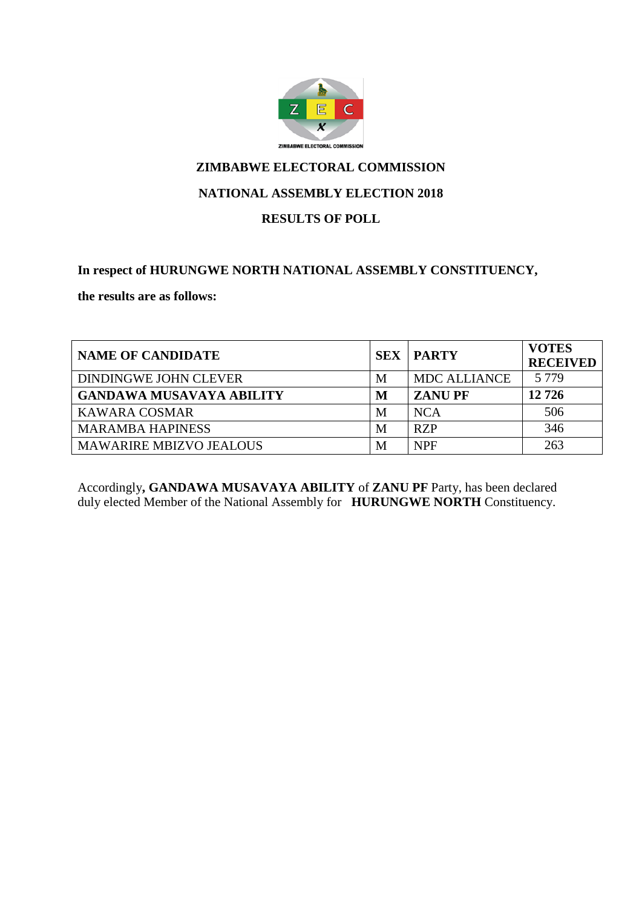

#### **NATIONAL ASSEMBLY ELECTION 2018**

#### **RESULTS OF POLL**

#### **In respect of HURUNGWE NORTH NATIONAL ASSEMBLY CONSTITUENCY,**

**the results are as follows:**

| <b>NAME OF CANDIDATE</b>        | <b>SEX</b> | PARTY               | <b>VOTES</b><br><b>RECEIVED</b> |
|---------------------------------|------------|---------------------|---------------------------------|
| DINDINGWE JOHN CLEVER           | M          | <b>MDC ALLIANCE</b> | 5 7 7 9                         |
| <b>GANDAWA MUSAVAYA ABILITY</b> | М          | <b>ZANU PF</b>      | 12726                           |
| <b>KAWARA COSMAR</b>            | M          | <b>NCA</b>          | 506                             |
| <b>MARAMBA HAPINESS</b>         | M          | <b>RZP</b>          | 346                             |
| <b>MAWARIRE MBIZVO JEALOUS</b>  | М          | <b>NPF</b>          | 263                             |

Accordingly**, GANDAWA MUSAVAYA ABILITY** of **ZANU PF** Party, has been declared duly elected Member of the National Assembly for **HURUNGWE NORTH** Constituency.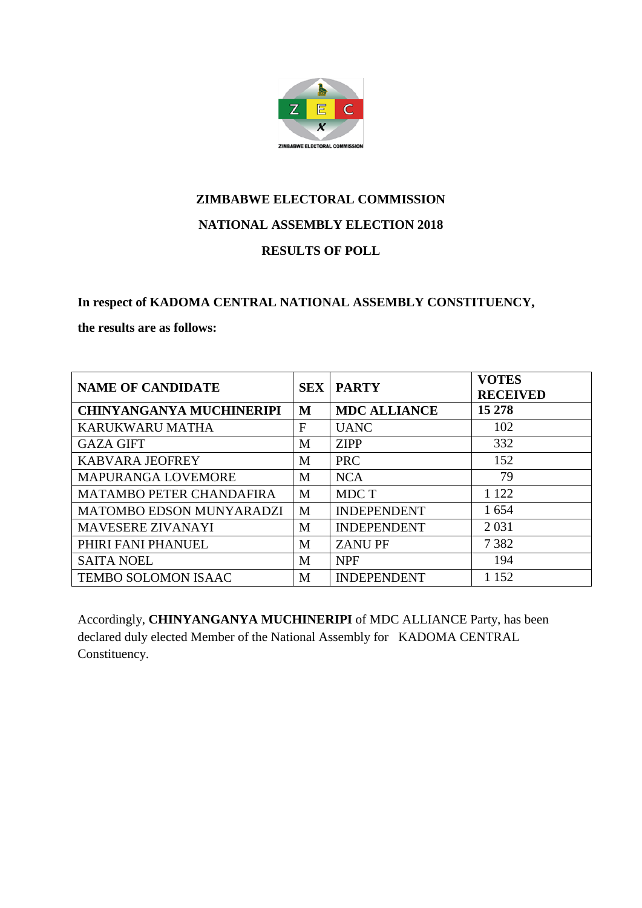

# **ZIMBABWE ELECTORAL COMMISSION NATIONAL ASSEMBLY ELECTION 2018**

#### **RESULTS OF POLL**

## **In respect of KADOMA CENTRAL NATIONAL ASSEMBLY CONSTITUENCY,**

#### **the results are as follows:**

| <b>NAME OF CANDIDATE</b>        | <b>SEX</b> | <b>PARTY</b>        | <b>VOTES</b><br><b>RECEIVED</b> |
|---------------------------------|------------|---------------------|---------------------------------|
| <b>CHINYANGANYA MUCHINERIPI</b> | M          | <b>MDC ALLIANCE</b> | 15 278                          |
| KARUKWARU MATHA                 | F          | <b>UANC</b>         | 102                             |
| <b>GAZA GIFT</b>                | M          | <b>ZIPP</b>         | 332                             |
| <b>KABVARA JEOFREY</b>          | M          | <b>PRC</b>          | 152                             |
| <b>MAPURANGA LOVEMORE</b>       | M          | <b>NCA</b>          | 79                              |
| <b>MATAMBO PETER CHANDAFIRA</b> | M          | MDC T               | 1 1 2 2                         |
| <b>MATOMBO EDSON MUNYARADZI</b> | M          | <b>INDEPENDENT</b>  | 1654                            |
| <b>MAVESERE ZIVANAYI</b>        | M          | <b>INDEPENDENT</b>  | 2 0 3 1                         |
| PHIRI FANI PHANUEL              | M          | <b>ZANUPF</b>       | 7382                            |
| <b>SAITA NOEL</b>               | M          | <b>NPF</b>          | 194                             |
| TEMBO SOLOMON ISAAC             | M          | <b>INDEPENDENT</b>  | 1 1 5 2                         |

Accordingly, **CHINYANGANYA MUCHINERIPI** of MDC ALLIANCE Party, has been declared duly elected Member of the National Assembly for KADOMA CENTRAL Constituency.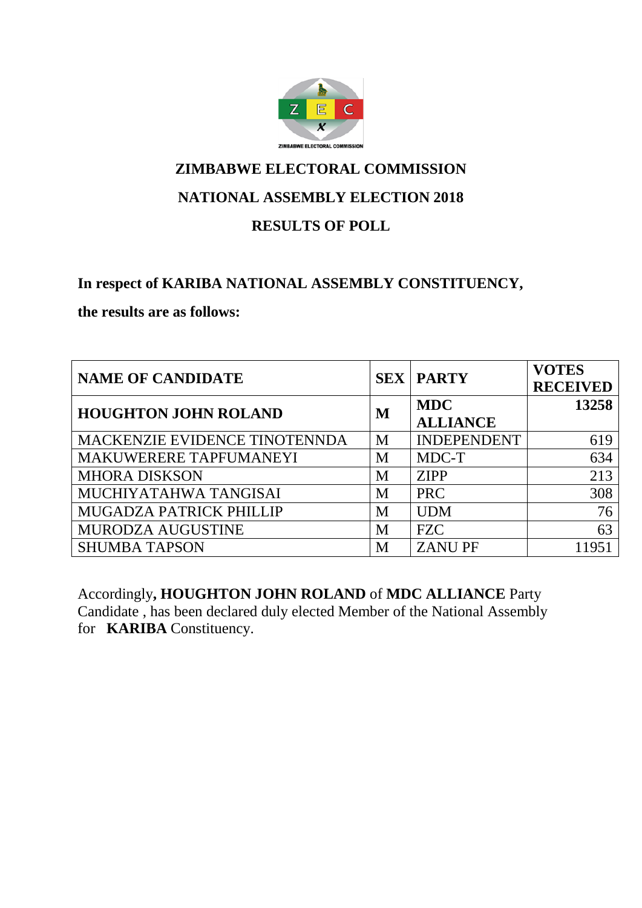

### **NATIONAL ASSEMBLY ELECTION 2018**

### **RESULTS OF POLL**

## **In respect of KARIBA NATIONAL ASSEMBLY CONSTITUENCY,**

**the results are as follows:**

| <b>NAME OF CANDIDATE</b>      |   | <b>SEX   PARTY</b> | <b>VOTES</b><br><b>RECEIVED</b> |
|-------------------------------|---|--------------------|---------------------------------|
| <b>HOUGHTON JOHN ROLAND</b>   |   | <b>MDC</b>         | 13258                           |
|                               | M | <b>ALLIANCE</b>    |                                 |
| MACKENZIE EVIDENCE TINOTENNDA | M | <b>INDEPENDENT</b> | 619                             |
| MAKUWERERE TAPFUMANEYI        | M | MDC-T              | 634                             |
| <b>MHORA DISKSON</b>          | M | <b>ZIPP</b>        | 213                             |
| MUCHIYATAHWA TANGISAI         | M | <b>PRC</b>         | 308                             |
| MUGADZA PATRICK PHILLIP       | M | <b>UDM</b>         | 76                              |
| MURODZA AUGUSTINE             | M | <b>FZC</b>         | 63                              |
| <b>SHUMBA TAPSON</b>          | M | <b>ZANUPF</b>      | 11951                           |

Accordingly**, HOUGHTON JOHN ROLAND** of **MDC ALLIANCE** Party Candidate , has been declared duly elected Member of the National Assembly for **KARIBA** Constituency.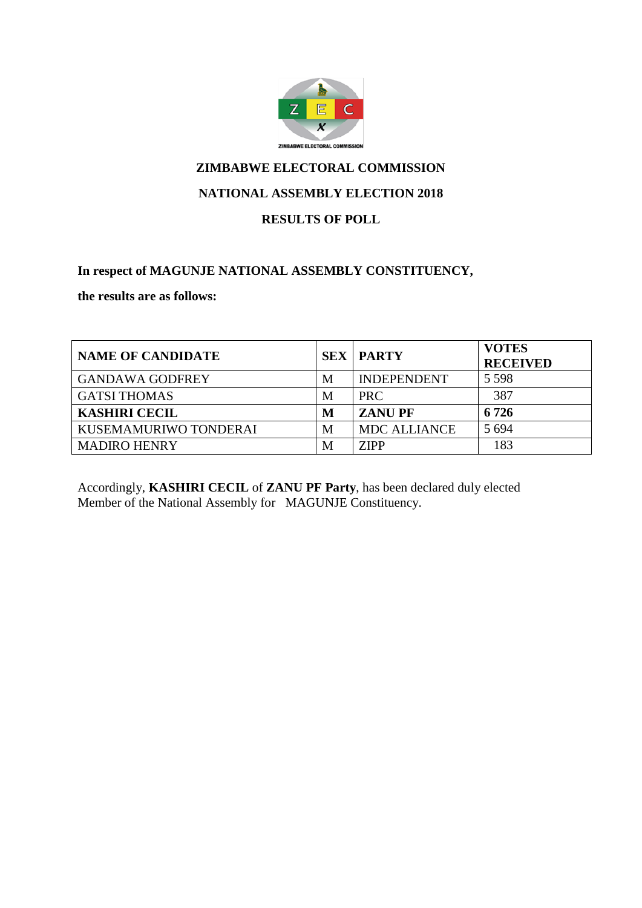

#### **NATIONAL ASSEMBLY ELECTION 2018**

#### **RESULTS OF POLL**

#### **In respect of MAGUNJE NATIONAL ASSEMBLY CONSTITUENCY,**

**the results are as follows:**

| <b>NAME OF CANDIDATE</b> |   | <b>SEX   PARTY</b>  | <b>VOTES</b><br><b>RECEIVED</b> |
|--------------------------|---|---------------------|---------------------------------|
| <b>GANDAWA GODFREY</b>   | M | <b>INDEPENDENT</b>  | 5 5 9 8                         |
| <b>GATSI THOMAS</b>      | M | <b>PRC</b>          | 387                             |
| <b>KASHIRI CECIL</b>     | M | <b>ZANUPF</b>       | 6 7 2 6                         |
| KUSEMAMURIWO TONDERAI    | M | <b>MDC ALLIANCE</b> | 5 6 9 4                         |
| <b>MADIRO HENRY</b>      | M | <b>ZIPP</b>         | 183                             |

Accordingly, **KASHIRI CECIL** of **ZANU PF Party**, has been declared duly elected Member of the National Assembly for MAGUNJE Constituency.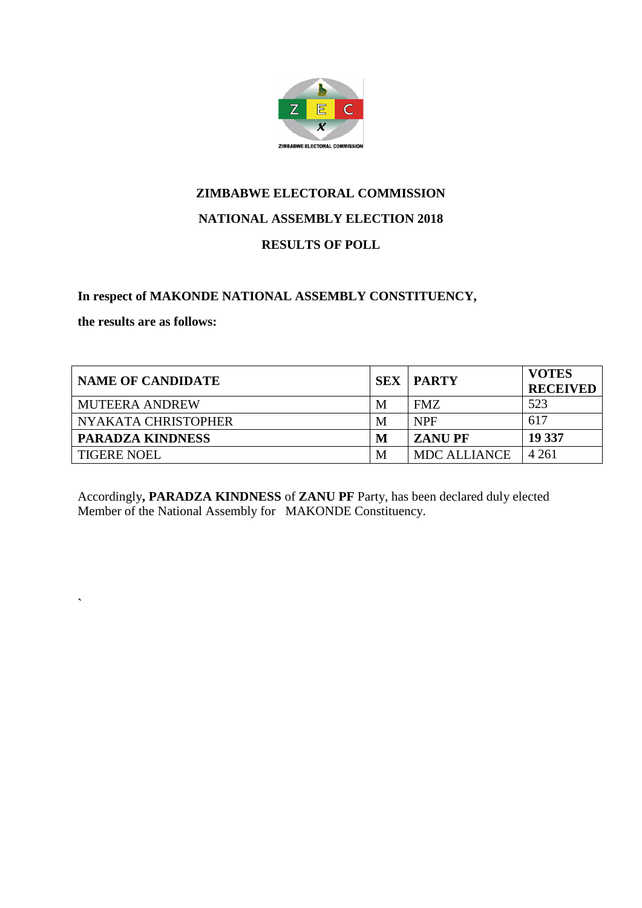

#### **In respect of MAKONDE NATIONAL ASSEMBLY CONSTITUENCY,**

**the results are as follows:**

**`**

| <b>NAME OF CANDIDATE</b> |   | <b>SEX   PARTY</b>  | <b>VOTES</b><br><b>RECEIVED</b> |
|--------------------------|---|---------------------|---------------------------------|
| <b>MUTEERA ANDREW</b>    | M | FMZ                 | 523                             |
| NYAKATA CHRISTOPHER      | M | <b>NPF</b>          | 617                             |
| <b>PARADZA KINDNESS</b>  | M | <b>ZANU PF</b>      | 19 337                          |
| <b>TIGERE NOEL</b>       | M | <b>MDC ALLIANCE</b> | 4 2 6 1                         |

Accordingly**, PARADZA KINDNESS** of **ZANU PF** Party, has been declared duly elected Member of the National Assembly for MAKONDE Constituency.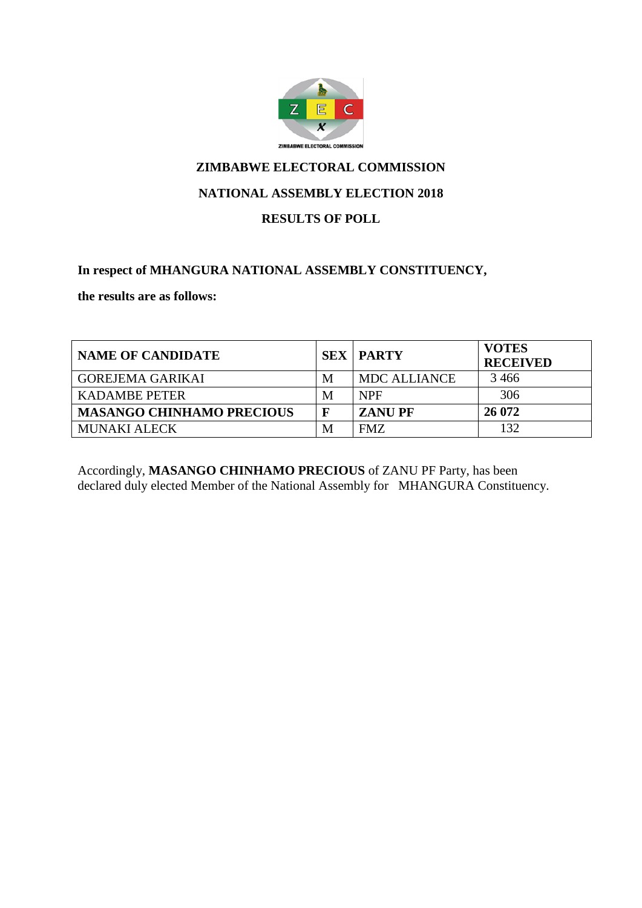

#### **NATIONAL ASSEMBLY ELECTION 2018**

#### **RESULTS OF POLL**

#### **In respect of MHANGURA NATIONAL ASSEMBLY CONSTITUENCY,**

**the results are as follows:**

| <b>NAME OF CANDIDATE</b>         |             | <b>SEX   PARTY</b>  | <b>VOTES</b><br><b>RECEIVED</b> |
|----------------------------------|-------------|---------------------|---------------------------------|
| <b>GOREJEMA GARIKAI</b>          | M           | <b>MDC ALLIANCE</b> | 3466                            |
| <b>KADAMBE PETER</b>             | M           | <b>NPF</b>          | 306                             |
| <b>MASANGO CHINHAMO PRECIOUS</b> | $\mathbf F$ | <b>ZANUPF</b>       | 26 072                          |
| MUNAKI ALECK                     | M           | FMZ.                | 132                             |

Accordingly, **MASANGO CHINHAMO PRECIOUS** of ZANU PF Party, has been declared duly elected Member of the National Assembly for MHANGURA Constituency.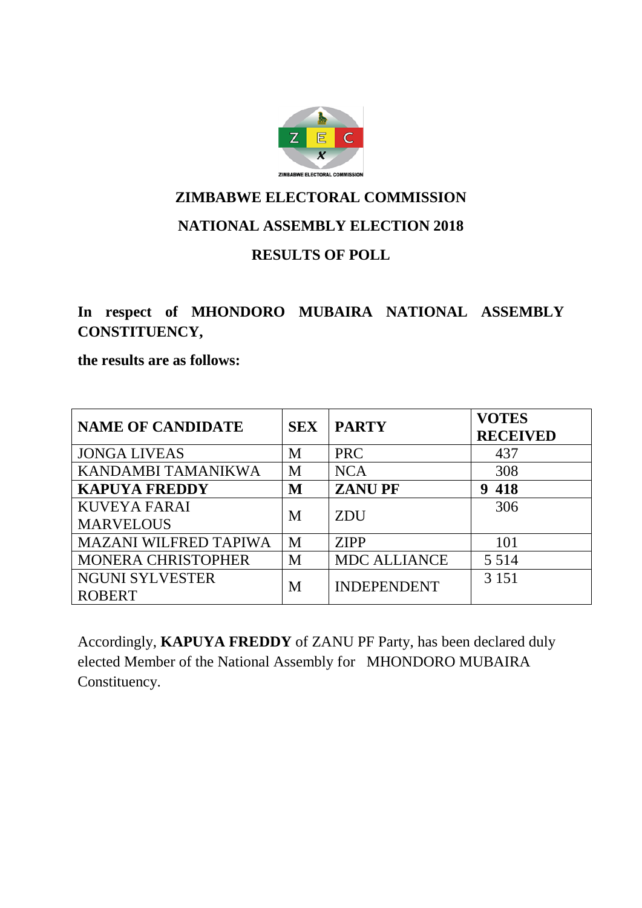

**In respect of MHONDORO MUBAIRA NATIONAL ASSEMBLY CONSTITUENCY,** 

**the results are as follows:**

| <b>NAME OF CANDIDATE</b>     | <b>SEX</b> | <b>PARTY</b>        | <b>VOTES</b><br><b>RECEIVED</b> |
|------------------------------|------------|---------------------|---------------------------------|
| <b>JONGA LIVEAS</b>          | M          | <b>PRC</b>          | 437                             |
| KANDAMBI TAMANIKWA           | M          | <b>NCA</b>          | 308                             |
| <b>KAPUYA FREDDY</b>         | M          | <b>ZANUPF</b>       | 418<br>9                        |
| <b>KUVEYA FARAI</b>          | M          | <b>ZDU</b>          | 306                             |
| <b>MARVELOUS</b>             |            |                     |                                 |
| <b>MAZANI WILFRED TAPIWA</b> | M          | <b>ZIPP</b>         | 101                             |
| <b>MONERA CHRISTOPHER</b>    | M          | <b>MDC ALLIANCE</b> | 5 5 1 4                         |
| <b>NGUNI SYLVESTER</b>       | M          | <b>INDEPENDENT</b>  | 3 1 5 1                         |
| <b>ROBERT</b>                |            |                     |                                 |

Accordingly, **KAPUYA FREDDY** of ZANU PF Party, has been declared duly elected Member of the National Assembly for MHONDORO MUBAIRA Constituency.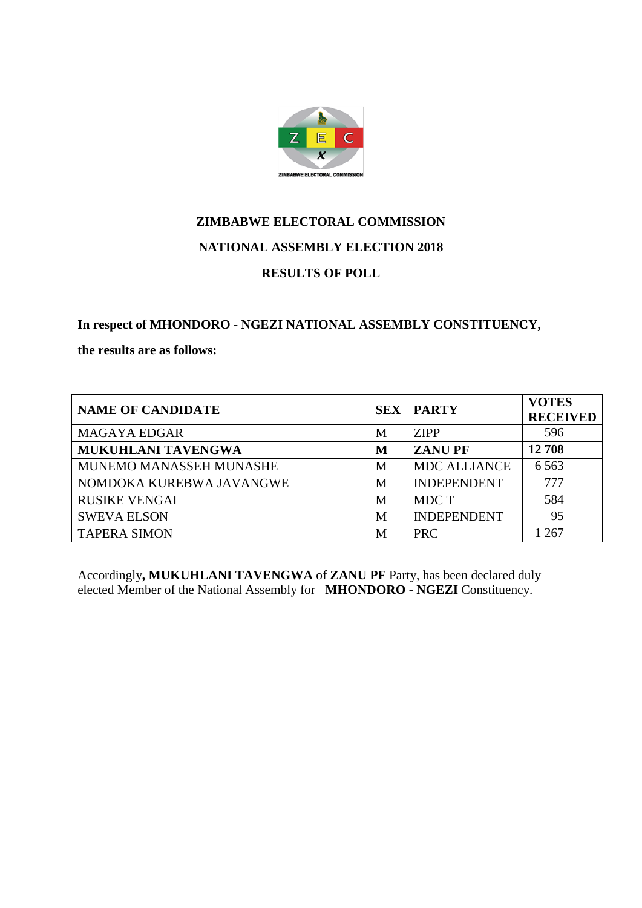

**In respect of MHONDORO - NGEZI NATIONAL ASSEMBLY CONSTITUENCY,** 

**the results are as follows:**

| <b>NAME OF CANDIDATE</b>  | <b>SEX</b> | <b>PARTY</b>        | <b>VOTES</b><br><b>RECEIVED</b> |
|---------------------------|------------|---------------------|---------------------------------|
| <b>MAGAYA EDGAR</b>       | М          | <b>ZIPP</b>         | 596                             |
| <b>MUKUHLANI TAVENGWA</b> | M          | <b>ZANUPF</b>       | 12708                           |
| MUNEMO MANASSEH MUNASHE   | М          | <b>MDC ALLIANCE</b> | 6 5 6 3                         |
| NOMDOKA KUREBWA JAVANGWE  | М          | <b>INDEPENDENT</b>  | 777                             |
| <b>RUSIKE VENGAI</b>      | М          | MDC T               | 584                             |
| <b>SWEVA ELSON</b>        | M          | <b>INDEPENDENT</b>  | 95                              |
| <b>TAPERA SIMON</b>       | М          | <b>PRC</b>          | 267                             |

Accordingly**, MUKUHLANI TAVENGWA** of **ZANU PF** Party, has been declared duly elected Member of the National Assembly for **MHONDORO - NGEZI** Constituency.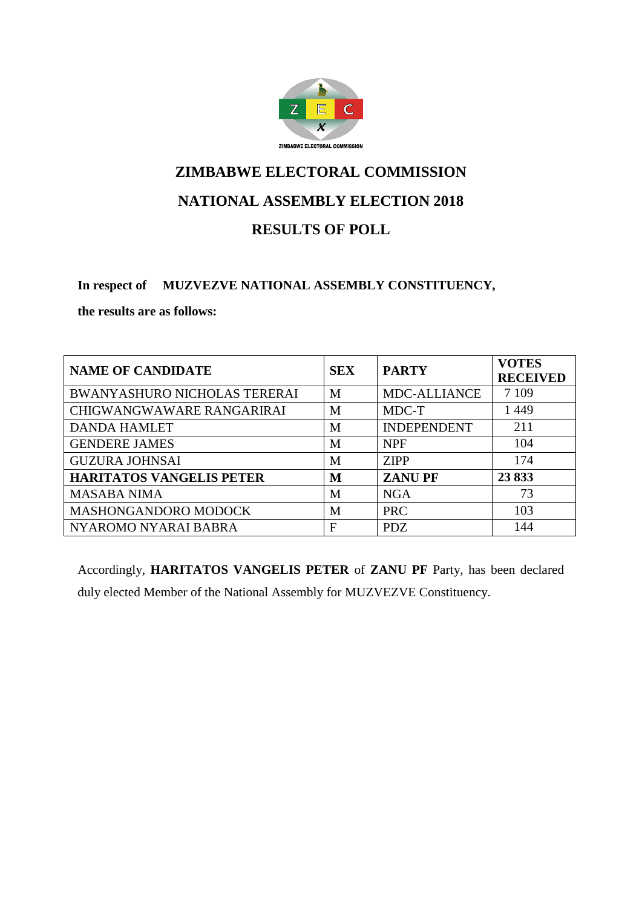

### **NATIONAL ASSEMBLY ELECTION 2018**

### **RESULTS OF POLL**

#### **In respect of MUZVEZVE NATIONAL ASSEMBLY CONSTITUENCY,**

**the results are as follows:**

| <b>NAME OF CANDIDATE</b>            | <b>SEX</b> | <b>PARTY</b>        | <b>VOTES</b><br><b>RECEIVED</b> |
|-------------------------------------|------------|---------------------|---------------------------------|
| <b>BWANYASHURO NICHOLAS TERERAI</b> | M          | <b>MDC-ALLIANCE</b> | 7 1 0 9                         |
| CHIGWANGWAWARE RANGARIRAI           | M          | MDC-T               | 1449                            |
| <b>DANDA HAMLET</b>                 | M          | <b>INDEPENDENT</b>  | 211                             |
| <b>GENDERE JAMES</b>                | M          | <b>NPF</b>          | 104                             |
| <b>GUZURA JOHNSAI</b>               | M          | <b>ZIPP</b>         | 174                             |
| <b>HARITATOS VANGELIS PETER</b>     | M          | <b>ZANUPF</b>       | 23833                           |
| <b>MASABA NIMA</b>                  | M          | <b>NGA</b>          | 73                              |
| MASHONGANDORO MODOCK                | M          | <b>PRC</b>          | 103                             |
| NYAROMO NYARAI BABRA                | F          | <b>PDZ</b>          | 144                             |

Accordingly, **HARITATOS VANGELIS PETER** of **ZANU PF** Party, has been declared duly elected Member of the National Assembly for MUZVEZVE Constituency.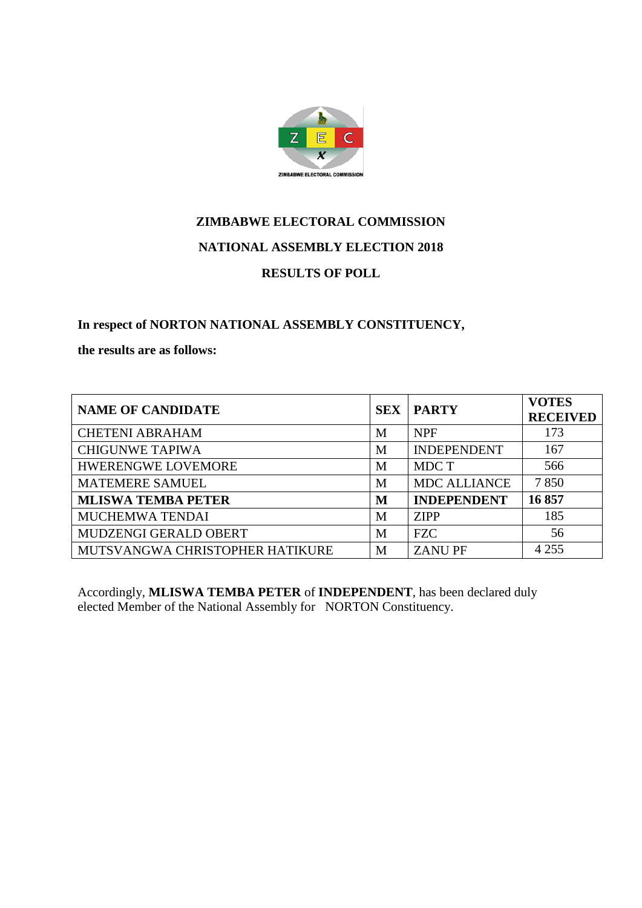

**In respect of NORTON NATIONAL ASSEMBLY CONSTITUENCY,** 

**the results are as follows:**

| <b>NAME OF CANDIDATE</b>        | <b>SEX</b> | <b>PARTY</b>        | <b>VOTES</b><br><b>RECEIVED</b> |
|---------------------------------|------------|---------------------|---------------------------------|
| <b>CHETENI ABRAHAM</b>          | M          | <b>NPF</b>          | 173                             |
| <b>CHIGUNWE TAPIWA</b>          | M          | <b>INDEPENDENT</b>  | 167                             |
| <b>HWERENGWE LOVEMORE</b>       | M          | MDC T               | 566                             |
| <b>MATEMERE SAMUEL</b>          | M          | <b>MDC ALLIANCE</b> | 7850                            |
| <b>MLISWA TEMBA PETER</b>       | M          | <b>INDEPENDENT</b>  | 16857                           |
| MUCHEMWA TENDAI                 | M          | <b>ZIPP</b>         | 185                             |
| MUDZENGI GERALD OBERT           | M          | <b>FZC</b>          | 56                              |
| MUTSVANGWA CHRISTOPHER HATIKURE | М          | <b>ZANUPF</b>       | 4 2 5 5                         |

Accordingly, **MLISWA TEMBA PETER** of **INDEPENDENT**, has been declared duly elected Member of the National Assembly for NORTON Constituency.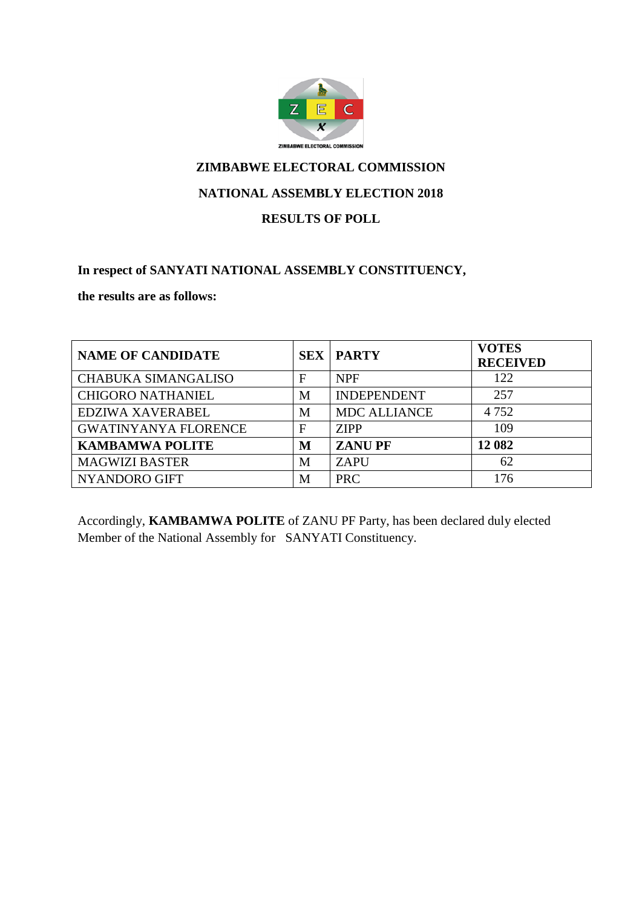

#### **NATIONAL ASSEMBLY ELECTION 2018**

#### **RESULTS OF POLL**

#### **In respect of SANYATI NATIONAL ASSEMBLY CONSTITUENCY,**

**the results are as follows:**

| <b>NAME OF CANDIDATE</b>    | <b>SEX</b>  | <b>PARTY</b>        | <b>VOTES</b><br><b>RECEIVED</b> |
|-----------------------------|-------------|---------------------|---------------------------------|
| <b>CHABUKA SIMANGALISO</b>  | $\mathbf F$ | <b>NPF</b>          | 122                             |
| <b>CHIGORO NATHANIEL</b>    | M           | <b>INDEPENDENT</b>  | 257                             |
| EDZIWA XAVERABEL            | M           | <b>MDC ALLIANCE</b> | 4752                            |
| <b>GWATINYANYA FLORENCE</b> | F           | <b>ZIPP</b>         | 109                             |
| <b>KAMBAMWA POLITE</b>      | M           | <b>ZANUPF</b>       | 12 082                          |
| <b>MAGWIZI BASTER</b>       | M           | <b>ZAPU</b>         | 62                              |
| NYANDORO GIFT               | М           | <b>PRC</b>          | 176                             |

Accordingly, **KAMBAMWA POLITE** of ZANU PF Party, has been declared duly elected Member of the National Assembly for SANYATI Constituency.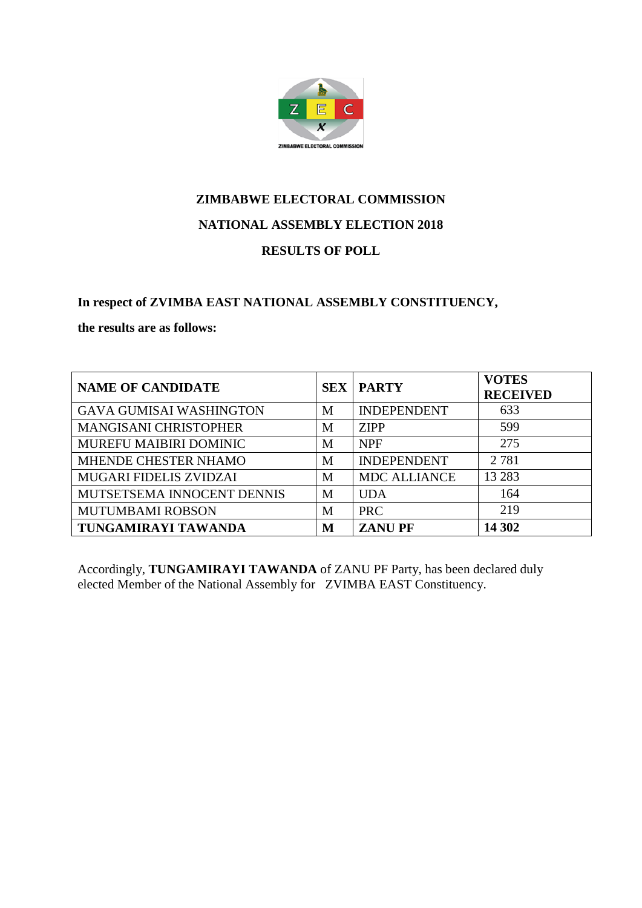

# **ZIMBABWE ELECTORAL COMMISSION NATIONAL ASSEMBLY ELECTION 2018**

#### **RESULTS OF POLL**

#### **In respect of ZVIMBA EAST NATIONAL ASSEMBLY CONSTITUENCY,**

#### **the results are as follows:**

| <b>NAME OF CANDIDATE</b>       |   | <b>SEX   PARTY</b>  | <b>VOTES</b><br><b>RECEIVED</b> |
|--------------------------------|---|---------------------|---------------------------------|
| <b>GAVA GUMISAI WASHINGTON</b> | M | <b>INDEPENDENT</b>  | 633                             |
| <b>MANGISANI CHRISTOPHER</b>   | M | <b>ZIPP</b>         | 599                             |
| MUREFU MAIBIRI DOMINIC         | M | <b>NPF</b>          | 275                             |
| MHENDE CHESTER NHAMO           | M | <b>INDEPENDENT</b>  | 2 7 8 1                         |
| <b>MUGARI FIDELIS ZVIDZAI</b>  | M | <b>MDC ALLIANCE</b> | 13 28 3                         |
| MUTSETSEMA INNOCENT DENNIS     | M | <b>UDA</b>          | 164                             |
| <b>MUTUMBAMI ROBSON</b>        | M | <b>PRC</b>          | 219                             |
| TUNGAMIRAYI TAWANDA            | M | <b>ZANUPF</b>       | 14 302                          |

Accordingly, **TUNGAMIRAYI TAWANDA** of ZANU PF Party, has been declared duly elected Member of the National Assembly for ZVIMBA EAST Constituency.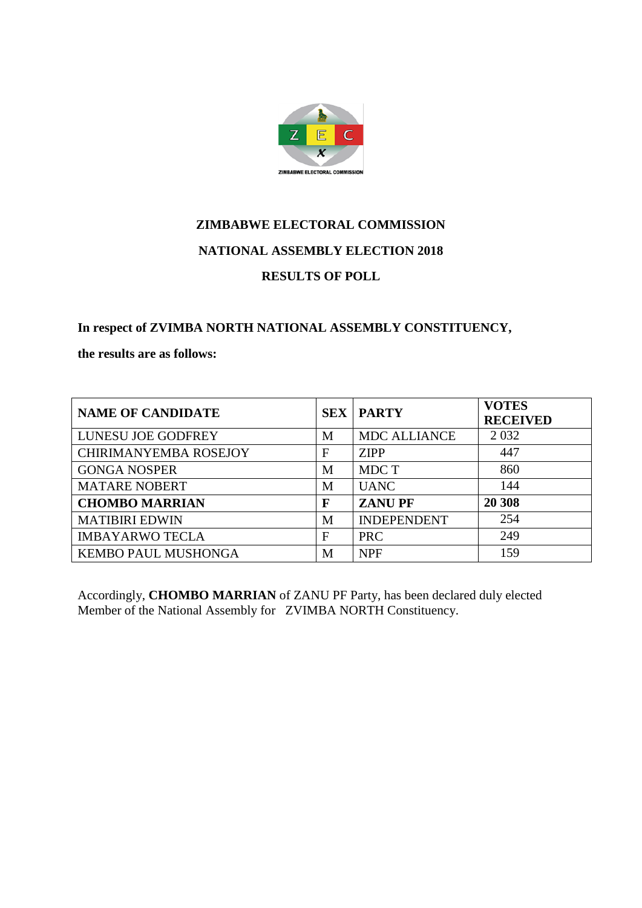

**In respect of ZVIMBA NORTH NATIONAL ASSEMBLY CONSTITUENCY,** 

**the results are as follows:**

| <b>NAME OF CANDIDATE</b>     | <b>SEX</b>   | <b>PARTY</b>        | <b>VOTES</b><br><b>RECEIVED</b> |
|------------------------------|--------------|---------------------|---------------------------------|
| <b>LUNESU JOE GODFREY</b>    | M            | <b>MDC ALLIANCE</b> | 2 0 3 2                         |
| <b>CHIRIMANYEMBA ROSEJOY</b> | $\mathbf{F}$ | <b>ZIPP</b>         | 447                             |
| <b>GONGA NOSPER</b>          | M            | MDC T               | 860                             |
| <b>MATARE NOBERT</b>         | M            | <b>UANC</b>         | 144                             |
| <b>CHOMBO MARRIAN</b>        | F            | <b>ZANUPF</b>       | 20 308                          |
| <b>MATIBIRI EDWIN</b>        | M            | <b>INDEPENDENT</b>  | 254                             |
| <b>IMBAYARWO TECLA</b>       | F            | <b>PRC</b>          | 249                             |
| KEMBO PAUL MUSHONGA          | M            | <b>NPF</b>          | 159                             |

Accordingly, **CHOMBO MARRIAN** of ZANU PF Party, has been declared duly elected Member of the National Assembly for ZVIMBA NORTH Constituency.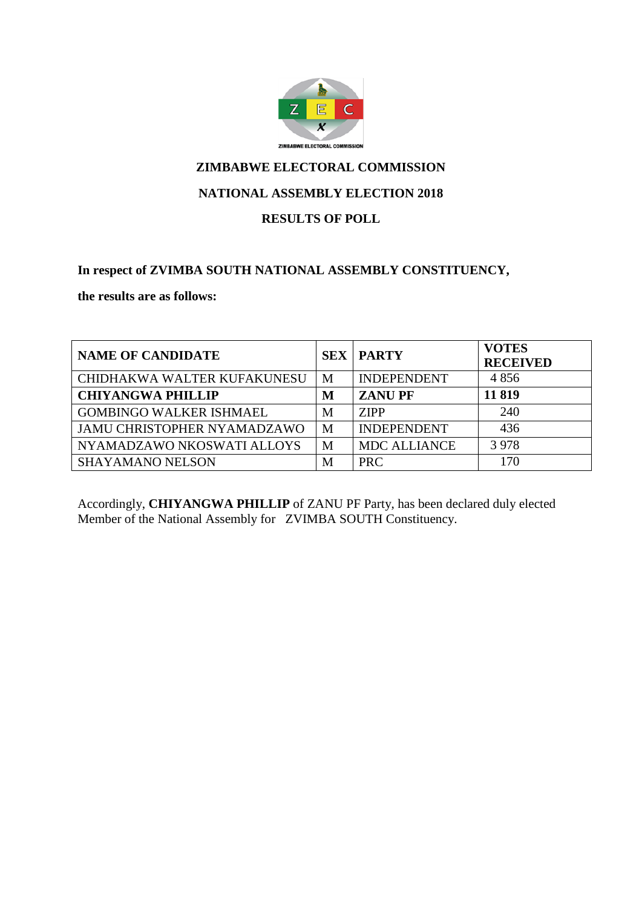

#### **NATIONAL ASSEMBLY ELECTION 2018**

#### **RESULTS OF POLL**

#### **In respect of ZVIMBA SOUTH NATIONAL ASSEMBLY CONSTITUENCY,**

**the results are as follows:**

| <b>NAME OF CANDIDATE</b>       | <b>SEX</b> | <b>PARTY</b>        | <b>VOTES</b><br><b>RECEIVED</b> |
|--------------------------------|------------|---------------------|---------------------------------|
| CHIDHAKWA WALTER KUFAKUNESU    | M          | <b>INDEPENDENT</b>  | 4856                            |
| <b>CHIYANGWA PHILLIP</b>       | M          | <b>ZANUPF</b>       | 11819                           |
| <b>GOMBINGO WALKER ISHMAEL</b> | M          | <b>ZIPP</b>         | 240                             |
| JAMU CHRISTOPHER NYAMADZAWO    | M          | <b>INDEPENDENT</b>  | 436                             |
| NYAMADZAWO NKOSWATI ALLOYS     | M          | <b>MDC ALLIANCE</b> | 3978                            |
| <b>SHAYAMANO NELSON</b>        | M          | <b>PRC</b>          | 170                             |

Accordingly, **CHIYANGWA PHILLIP** of ZANU PF Party, has been declared duly elected Member of the National Assembly for ZVIMBA SOUTH Constituency.